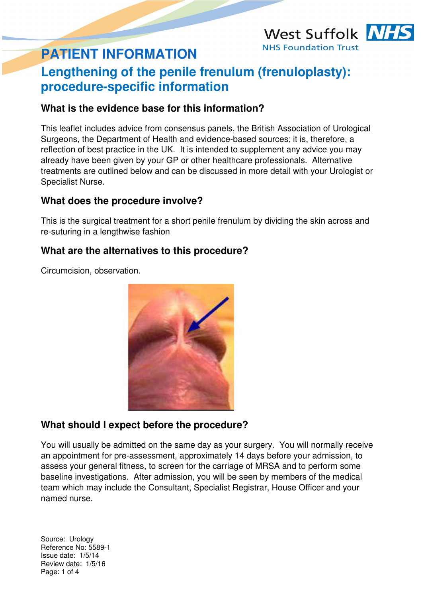# **PATIENT INFORMATION**

## **Lengthening of the penile frenulum (frenuloplasty): procedure-specific information**

West Suffolk NHS

**NHS Foundation Trust** 

## **What is the evidence base for this information?**

This leaflet includes advice from consensus panels, the British Association of Urological Surgeons, the Department of Health and evidence-based sources; it is, therefore, a reflection of best practice in the UK. It is intended to supplement any advice you may already have been given by your GP or other healthcare professionals. Alternative treatments are outlined below and can be discussed in more detail with your Urologist or Specialist Nurse.

## **What does the procedure involve?**

This is the surgical treatment for a short penile frenulum by dividing the skin across and re-suturing in a lengthwise fashion

## **What are the alternatives to this procedure?**

Circumcision, observation.



## **What should I expect before the procedure?**

You will usually be admitted on the same day as your surgery. You will normally receive an appointment for pre-assessment, approximately 14 days before your admission, to assess your general fitness, to screen for the carriage of MRSA and to perform some baseline investigations. After admission, you will be seen by members of the medical team which may include the Consultant, Specialist Registrar, House Officer and your named nurse.

Source: Urology Reference No: 5589-1 Issue date: 1/5/14 Review date: 1/5/16 Page: 1 of 4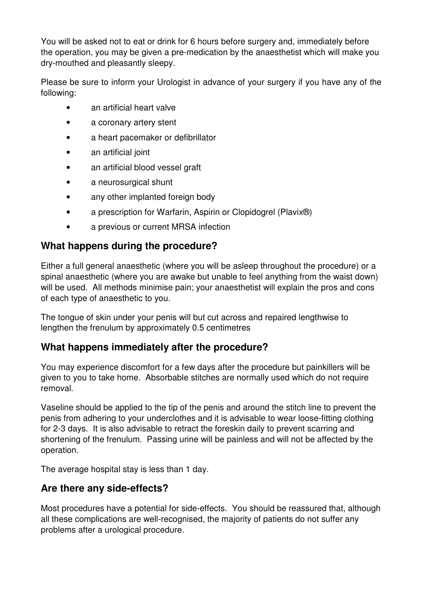You will be asked not to eat or drink for 6 hours before surgery and, immediately before the operation, you may be given a pre-medication by the anaesthetist which will make you dry-mouthed and pleasantly sleepy.

Please be sure to inform your Urologist in advance of your surgery if you have any of the following:

- an artificial heart valve
- a coronary artery stent
- a heart pacemaker or defibrillator
- an artificial joint
- an artificial blood vessel graft
- a neurosurgical shunt
- any other implanted foreign body
- a prescription for Warfarin, Aspirin or Clopidogrel (Plavix<sup>®</sup>)
- a previous or current MRSA infection

## **What happens during the procedure?**

Either a full general anaesthetic (where you will be asleep throughout the procedure) or a spinal anaesthetic (where you are awake but unable to feel anything from the waist down) will be used. All methods minimise pain; your anaesthetist will explain the pros and cons of each type of anaesthetic to you.

The tongue of skin under your penis will but cut across and repaired lengthwise to lengthen the frenulum by approximately 0.5 centimetres

## **What happens immediately after the procedure?**

You may experience discomfort for a few days after the procedure but painkillers will be given to you to take home. Absorbable stitches are normally used which do not require removal.

Vaseline should be applied to the tip of the penis and around the stitch line to prevent the penis from adhering to your underclothes and it is advisable to wear loose-fitting clothing for 2-3 days. It is also advisable to retract the foreskin daily to prevent scarring and shortening of the frenulum. Passing urine will be painless and will not be affected by the operation.

The average hospital stay is less than 1 day.

## **Are there any side-effects?**

Most procedures have a potential for side-effects. You should be reassured that, although all these complications are well-recognised, the majority of patients do not suffer any problems after a urological procedure.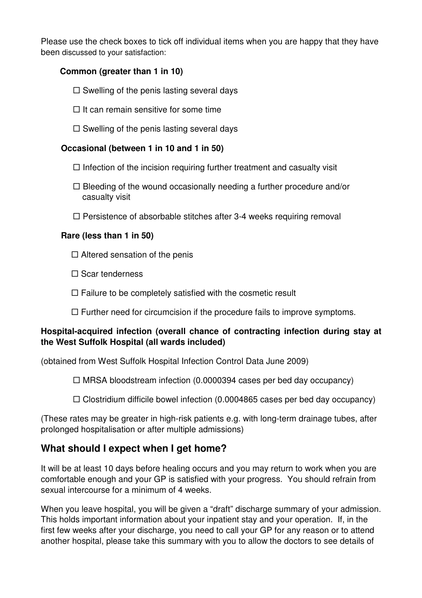Please use the check boxes to tick off individual items when you are happy that they have been discussed to your satisfaction:

#### **Common (greater than 1 in 10)**

- $\square$  Swelling of the penis lasting several days
- $\Box$  It can remain sensitive for some time
- $\square$  Swelling of the penis lasting several days

#### **Occasional (between 1 in 10 and 1 in 50)**

- $\Box$  Infection of the incision requiring further treatment and casualty visit
- $\Box$  Bleeding of the wound occasionally needing a further procedure and/or casualty visit
- $\Box$  Persistence of absorbable stitches after 3-4 weeks requiring removal

#### **Rare (less than 1 in 50)**

- $\Box$  Altered sensation of the penis
- $\square$  Scar tenderness
- $\Box$  Failure to be completely satisfied with the cosmetic result
- $\Box$  Further need for circumcision if the procedure fails to improve symptoms.

#### **Hospital-acquired infection (overall chance of contracting infection during stay at the West Suffolk Hospital (all wards included)**

(obtained from West Suffolk Hospital Infection Control Data June 2009)

 $\Box$  MRSA bloodstream infection (0.0000394 cases per bed day occupancy)

 $\Box$  Clostridium difficile bowel infection (0.0004865 cases per bed day occupancy)

(These rates may be greater in high-risk patients e.g. with long-term drainage tubes, after prolonged hospitalisation or after multiple admissions)

## **What should I expect when I get home?**

It will be at least 10 days before healing occurs and you may return to work when you are comfortable enough and your GP is satisfied with your progress. You should refrain from sexual intercourse for a minimum of 4 weeks.

When you leave hospital, you will be given a "draft" discharge summary of your admission. This holds important information about your inpatient stay and your operation. If, in the first few weeks after your discharge, you need to call your GP for any reason or to attend another hospital, please take this summary with you to allow the doctors to see details of